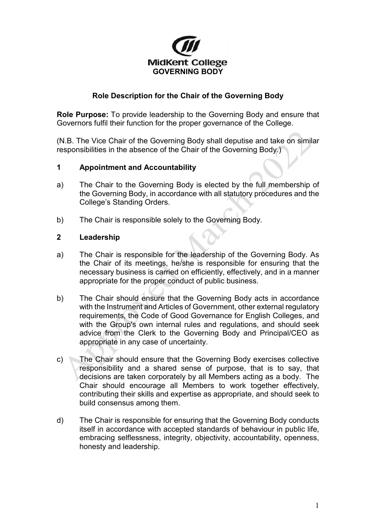

# **Role Description for the Chair of the Governing Body**

**Role Purpose:** To provide leadership to the Governing Body and ensure that Governors fulfil their function for the proper governance of the College.

(N.B. The Vice Chair of the Governing Body shall deputise and take on similar responsibilities in the absence of the Chair of the Governing Body.)

#### **1 Appointment and Accountability**

- a) The Chair to the Governing Body is elected by the full membership of the Governing Body, in accordance with all statutory procedures and the College's Standing Orders.
- b) The Chair is responsible solely to the Governing Body.

## **2 Leadership**

- a) The Chair is responsible for the leadership of the Governing Body. As the Chair of its meetings, he/she is responsible for ensuring that the necessary business is carried on efficiently, effectively, and in a manner appropriate for the proper conduct of public business.
- b) The Chair should ensure that the Governing Body acts in accordance with the Instrument and Articles of Government, other external regulatory requirements, the Code of Good Governance for English Colleges, and with the Group's own internal rules and regulations, and should seek advice from the Clerk to the Governing Body and Principal/CEO as appropriate in any case of uncertainty.
- c) The Chair should ensure that the Governing Body exercises collective responsibility and a shared sense of purpose, that is to say, that decisions are taken corporately by all Members acting as a body. The Chair should encourage all Members to work together effectively, contributing their skills and expertise as appropriate, and should seek to build consensus among them.
- d) The Chair is responsible for ensuring that the Governing Body conducts itself in accordance with accepted standards of behaviour in public life, embracing selflessness, integrity, objectivity, accountability, openness, honesty and leadership.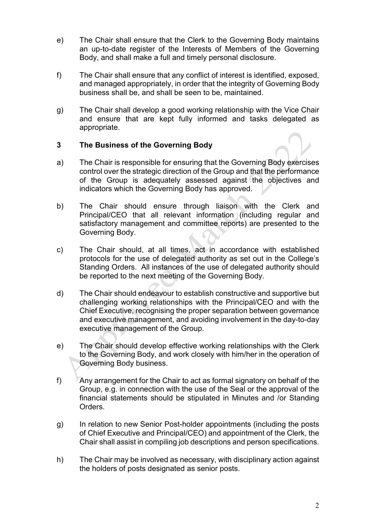- e) The Chair shall ensure that the Clerk to the Governing Body maintains an up-to-date register of the Interests of Members of the Governing Body, and shall make a full and timely personal disclosure.
- f) The Chair shall ensure that any conflict of interest is identified, exposed, and managed appropriately, in order that the integrity of Governing Body business shall be, and shall be seen to be, maintained.
- g) The Chair shall develop a good working relationship with the Vice Chair and ensure that are kept fully informed and tasks delegated as appropriate.

## **3 The Business of the Governing Body**

- a) The Chair is responsible for ensuring that the Governing Body exercises control over the strategic direction of the Group and that the performance of the Group is adequately assessed against the objectives and indicators which the Governing Body has approved.
- b) The Chair should ensure through liaison with the Clerk and Principal/CEO that all relevant information (including regular and satisfactory management and committee reports) are presented to the Governing Body.
- c) The Chair should, at all times, act in accordance with established protocols for the use of delegated authority as set out in the College's Standing Orders. All instances of the use of delegated authority should be reported to the next meeting of the Governing Body.
- d) The Chair should endeavour to establish constructive and supportive but challenging working relationships with the Principal/CEO and with the Chief Executive, recognising the proper separation between governance and executive management, and avoiding involvement in the day-to-day executive management of the Group.
- e) The Chair should develop effective working relationships with the Clerk to the Governing Body, and work closely with him/her in the operation of Governing Body business.
- f) Any arrangement for the Chair to act as formal signatory on behalf of the Group, e.g. in connection with the use of the Seal or the approval of the financial statements should be stipulated in Minutes and /or Standing Orders.
- g) In relation to new Senior Post-holder appointments (including the posts of Chief Executive and Principal/CEO) and appointment of the Clerk, the Chair shall assist in compiling job descriptions and person specifications.
- h) The Chair may be involved as necessary, with disciplinary action against the holders of posts designated as senior posts.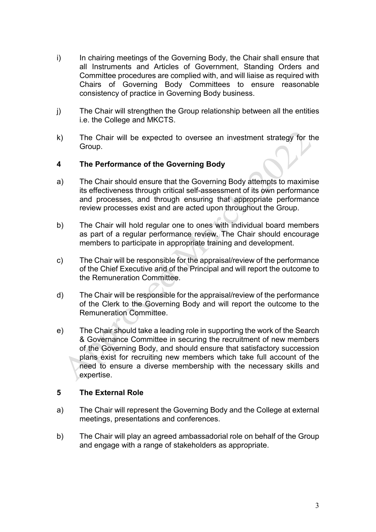- i) In chairing meetings of the Governing Body, the Chair shall ensure that all Instruments and Articles of Government, Standing Orders and Committee procedures are complied with, and will liaise as required with Chairs of Governing Body Committees to ensure reasonable consistency of practice in Governing Body business.
- j) The Chair will strengthen the Group relationship between all the entities i.e. the College and MKCTS.
- k) The Chair will be expected to oversee an investment strategy for the Group.

## **4 The Performance of the Governing Body**

- a) The Chair should ensure that the Governing Body attempts to maximise its effectiveness through critical self-assessment of its own performance and processes, and through ensuring that appropriate performance review processes exist and are acted upon throughout the Group.
- b) The Chair will hold regular one to ones with individual board members as part of a regular performance review. The Chair should encourage members to participate in appropriate training and development.
- c) The Chair will be responsible for the appraisal/review of the performance of the Chief Executive and of the Principal and will report the outcome to the Remuneration Committee.
- d) The Chair will be responsible for the appraisal/review of the performance of the Clerk to the Governing Body and will report the outcome to the Remuneration Committee.
- e) The Chair should take a leading role in supporting the work of the Search & Governance Committee in securing the recruitment of new members of the Governing Body, and should ensure that satisfactory succession plans exist for recruiting new members which take full account of the need to ensure a diverse membership with the necessary skills and expertise.

#### **5 The External Role**

- a) The Chair will represent the Governing Body and the College at external meetings, presentations and conferences.
- b) The Chair will play an agreed ambassadorial role on behalf of the Group and engage with a range of stakeholders as appropriate.